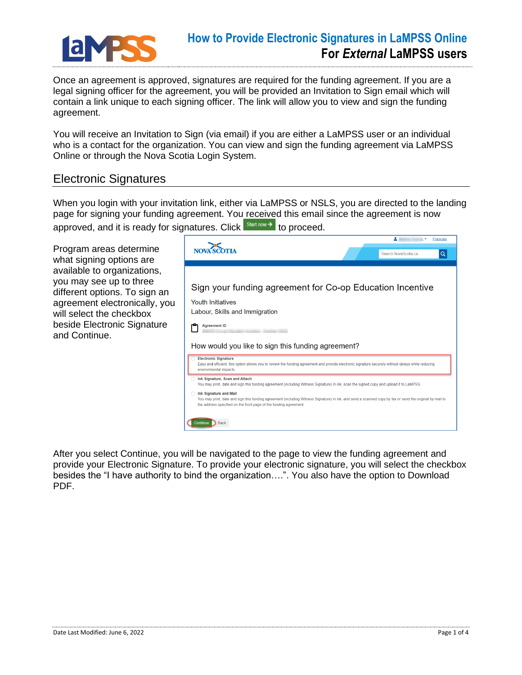

## **How to Provide Electronic Signatures in LaMPSS Online For** *External* **LaMPSS users**

Once an agreement is approved, signatures are required for the funding agreement. If you are a legal signing officer for the agreement, you will be provided an Invitation to Sign email which will contain a link unique to each signing officer. The link will allow you to view and sign the funding agreement.

You will receive an Invitation to Sign (via email) if you are either a LaMPSS user or an individual who is a contact for the organization. You can view and sign the funding agreement via LaMPSS Online or through the Nova Scotia Login System.

## Electronic Signatures

When you login with your invitation link, either via LaMPSS or NSLS, you are directed to the landing page for signing your funding agreement. You received this email since the agreement is now approved, and it is ready for signatures. Click start now > to proceed.

Program areas determine what signing options are available to organizations, you may see up to three different options. To sign an agreement electronically, you will select the checkbox beside Electronic Signature and Continue.



After you select Continue, you will be navigated to the page to view the funding agreement and provide your Electronic Signature. To provide your electronic signature, you will select the checkbox besides the "I have authority to bind the organization….". You also have the option to Download PDF.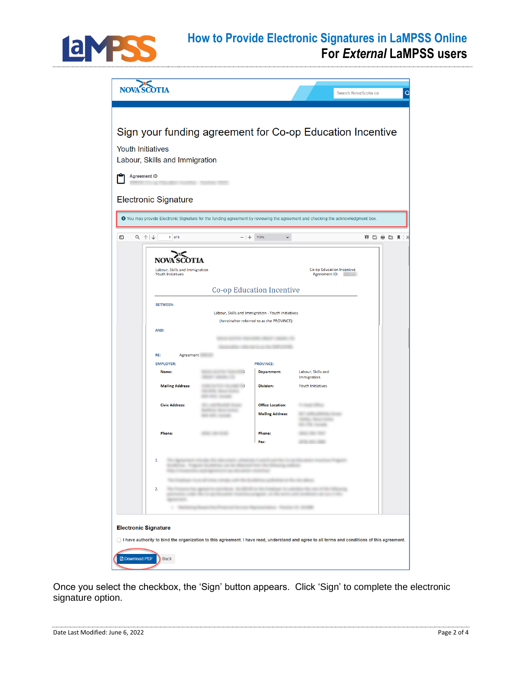

## **How to Provide Electronic Signatures in LaMPSS Online For** *External* **LaMPSS users**



Once you select the checkbox, the 'Sign' button appears. Click 'Sign' to complete the electronic signature option.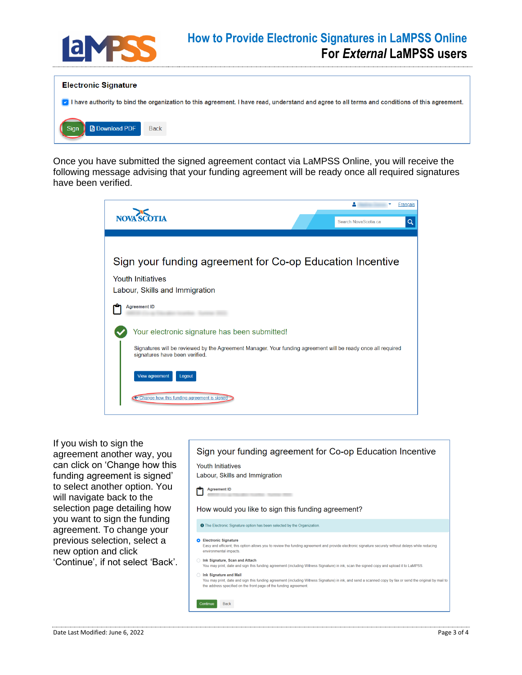

## **How to Provide Electronic Signatures in LaMPSS Online For** *External* **LaMPSS users**



Once you have submitted the signed agreement contact via LaMPSS Online, you will receive the following message advising that your funding agreement will be ready once all required signatures have been verified.



If you wish to sign the agreement another way, you can click on 'Change how this funding agreement is signed' to select another option. You will navigate back to the selection page detailing how you want to sign the funding agreement. To change your previous selection, select a new option and click 'Continue', if not select 'Back'.

Sign your funding agreement for Co-op Education Incentive **Youth Initiatives** Labour, Skills and Immigration Agreement ID Ĥ How would you like to sign this funding agreement? **O** The Electronic Signature option has been selected by the Organization **O** Electronic Signature Easy and efficient, this option allows you to review the funding agreement and provide electronic signature securely without delays while reducing environmental impacts ◯ Ink Signature, Scan and Attach You may print, date and sign this funding agreement (including Witness Signature) in ink, scan the signed copy and upload it to LaMPSS. ◯ Ink Signature and Mail .<br>You may print, date and sign this funding agreement (including Witness Signature) in ink, and send a scanned copy by fax or send the original by mail to the address specified on the front page of the funding agreement Back Continue